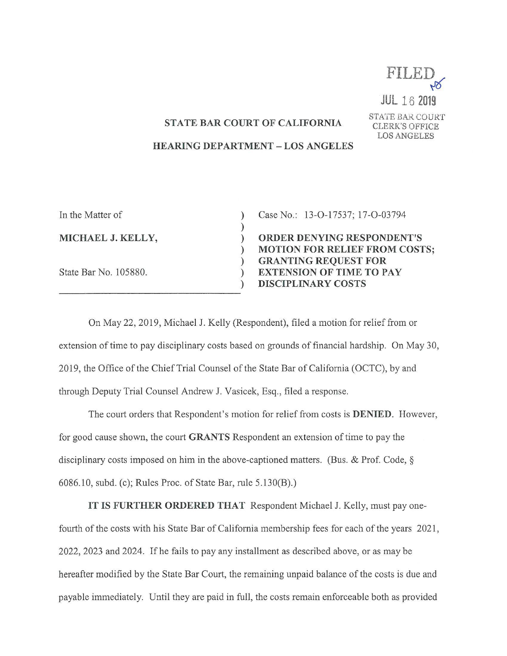

JUL 18 2019

## **STATE BAR COURT OF CALIFORNIA** STATE BAR COURT

LOS ANGELES<br>HEARING DEPARTMENT – LOS ANGELES

| In the Matter of      |  |
|-----------------------|--|
| MICHAEL J. KELLY,     |  |
| State Bar No. 105880. |  |

Case No.: 13-O-17537; 17-O-03794

ORDER DENYING RESPONDENT'S<br>MOTION FOR RELIEF FROM COSTS; GRANTING REQUEST FOR EXTENSION OF TIME TO PAY DISCIPLINARY COSTS

On May 22, 2019, Michael J. Kelly (Respondent), filed a motion for relief from or extension of time to pay disciplinary costs based on grounds of financial hardship. On May 30, 2019, the Office 0f the Chief Trial Counsel of the State Bar of California (OCTC), by and through Deputy Trial Counsel Andrew J. Vasicek, Esq., filed a response.

The court orders that Respondent's motion for relief from costs is DENIED. However, for good cause shown, the court GRANTS Respondent an extension of time to pay the disciplinary costs imposed on him in the above-captioned matters. (Bus. & Prof. Code,  $\S$ 6086.10, subd. (c); Rules Proc. of State Bar, rule 5.130(B).)

IT IS FURTHER ORDERED THAT Respondent Michael J. Kelly, must pay onefourth of the costs with his State Bar 0f California membership fees for each of the years 2021, 2022, 2023 and 2024. If he fails to pay any installment as described above, 0r as may be hereafter modified by the State Bar Court, the remaining unpaid balance of the costs is due and payable immediately. Until they are paid in full, the costs remain enforceable both as provided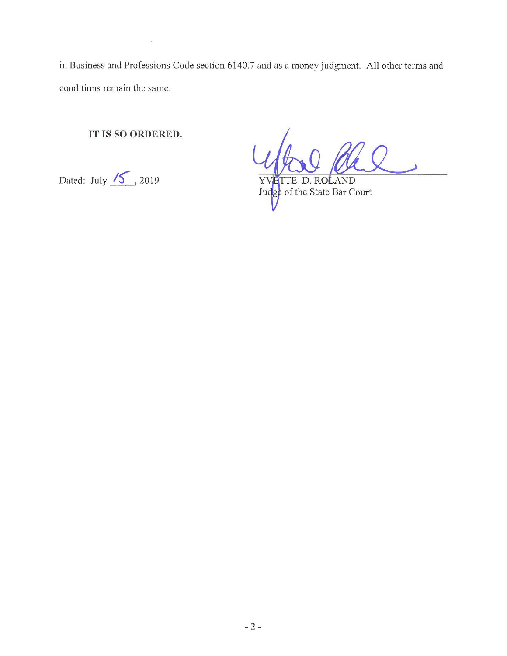in Business and Professions Code section 6140.7 and as money judgment. A11 other terms and conditions remain the same.

IT IS SO ORDERED.

 $\overline{\phantom{a}}$ 

Conditions remain the same.<br>
IT IS SO ORDERED.<br>
Dated: July 15, 2019 YV PTTE D. ROLAND.<br>
Judge of the State Bar Court

Judge of the State Bar Court